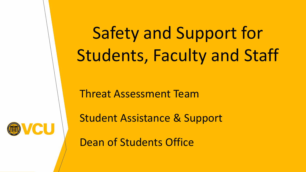Safety and Support for Students, Faculty and Staff

Threat Assessment Team

Student Assistance & Support

CU

Dean of Students Office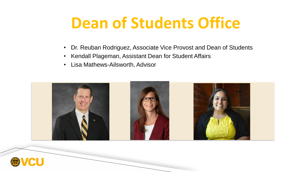### **Dean of Students Office**

- Dr. Reuban Rodriguez, Associate Vice Provost and Dean of Students
- Kendall Plageman, Assistant Dean for Student Affairs
- Lisa Mathews-Ailsworth, Advisor



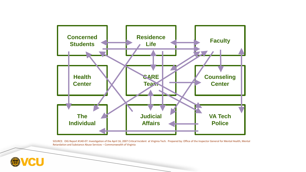

SOURCE: OIG Report #140-07: Investigation of the April 16, 2007 Critical Incident at Virginia Tech. Prepared by: Office of the Inspector General for Mental Health, Mental Retardation and Substance Abuse Services – Commonwealth of Virginia

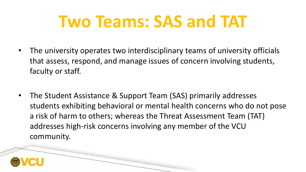# **Two Teams: SAS and TAT**

- The university operates two interdisciplinary teams of university officials that assess, respond, and manage issues of concern involving students, faculty or staff.
- The Student Assistance & Support Team (SAS) primarily addresses students exhibiting behavioral or mental health concerns who do not pose a risk of harm to others; whereas the Threat Assessment Team (TAT) addresses high-risk concerns involving any member of the VCU community.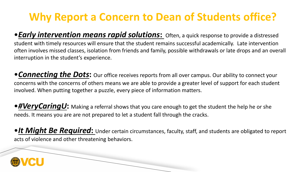### **Why Report a Concern to Dean of Students office?**

•*Early intervention means rapid solutions***:** Often, a quick response to provide a distressed student with timely resources will ensure that the student remains successful academically. Late intervention often involves missed classes, isolation from friends and family, possible withdrawals or late drops and an overall interruption in the student's experience.

•*Connecting the Dots***:** Our office receives reports from all over campus. Our ability to connect your concerns with the concerns of others means we are able to provide a greater level of support for each student involved. When putting together a puzzle, every piece of information matters.

•*#VeryCaringU***:** Making a referral shows that you care enough to get the student the help he or she needs. It means you are are not prepared to let a student fall through the cracks.

•*It Might Be Required***:** Under certain circumstances, faculty, staff, and students are obligated to report acts of violence and other threatening behaviors.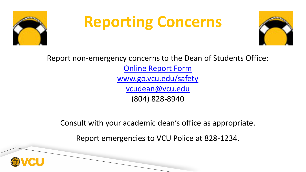

# **Reporting Concerns**



Report non-emergency concerns to the Dean of Students Office: [Online Report Form](http://www.go.vcu.edu/safety) [www.go.vcu.edu/safety](http://www.go.vcu.edu/safety) [vcudean@vcu.edu](mailto:vcudean@vcu.edu) (804) 828-8940

Consult with your academic dean's office as appropriate.

Report emergencies to VCU Police at 828-1234.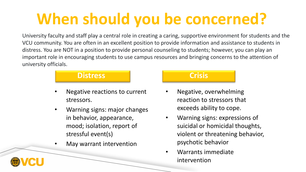### **When should you be concerned?**

University faculty and staff play a central role in creating a caring, supportive environment for students and the VCU community. You are often in an excellent position to provide information and assistance to students in distress. You are NOT in a position to provide personal counseling to students; however, you can play an important role in encouraging students to use campus resources and bringing concerns to the attention of university officials.

### **Distress Crisis**

- Negative reactions to current stressors.
- Warning signs: major changes in behavior, appearance, mood; isolation, report of stressful event(s)
- May warrant intervention

- Negative, overwhelming reaction to stressors that exceeds ability to cope.
- Warning signs: expressions of suicidal or homicidal thoughts, violent or threatening behavior, psychotic behavior
- Warrants immediate intervention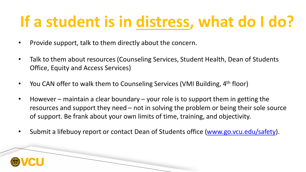### **If a student is in distress, what do I do?**

- Provide support, talk to them directly about the concern.
- Talk to them about resources (Counseling Services, Student Health, Dean of Students Office, Equity and Access Services)
- You CAN offer to walk them to Counseling Services (VMI Building, 4<sup>th</sup> floor)
- However maintain a clear boundary your role is to support them in getting the resources and support they need – not in solving the problem or being their sole source of support. Be frank about your own limits of time, training, and objectivity.
- Submit a lifebuoy report or contact Dean of Students office [\(www.go.vcu.edu/safety\)](http://www.go.vcu.edu/safety).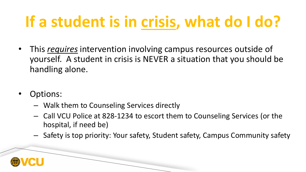## **If a student is in crisis, what do I do?**

- This *requires* intervention involving campus resources outside of yourself. A student in crisis is NEVER a situation that you should be handling alone.
- Options:
	- Walk them to Counseling Services directly
	- Call VCU Police at 828-1234 to escort them to Counseling Services (or the hospital, if need be)
	- Safety is top priority: Your safety, Student safety, Campus Community safety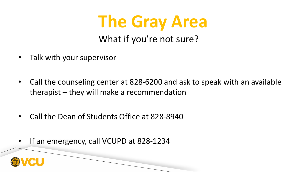

- Talk with your supervisor
- Call the counseling center at 828-6200 and ask to speak with an available therapist – they will make a recommendation
- Call the Dean of Students Office at 828-8940
- If an emergency, call VCUPD at 828-1234

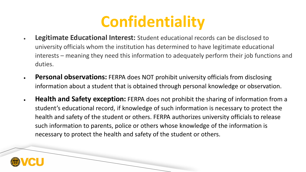### **Confidentiality**

- **Legitimate Educational Interest:** Student educational records can be disclosed to university officials whom the institution has determined to have legitimate educational interests – meaning they need this information to adequately perform their job functions and duties.
- **Personal observations:** FERPA does NOT prohibit university officials from disclosing information about a student that is obtained through personal knowledge or observation.
- **Health and Safety exception:** FERPA does not prohibit the sharing of information from a student's educational record, if knowledge of such information is necessary to protect the health and safety of the student or others. FERPA authorizes university officials to release such information to parents, police or others whose knowledge of the information is necessary to protect the health and safety of the student or others.